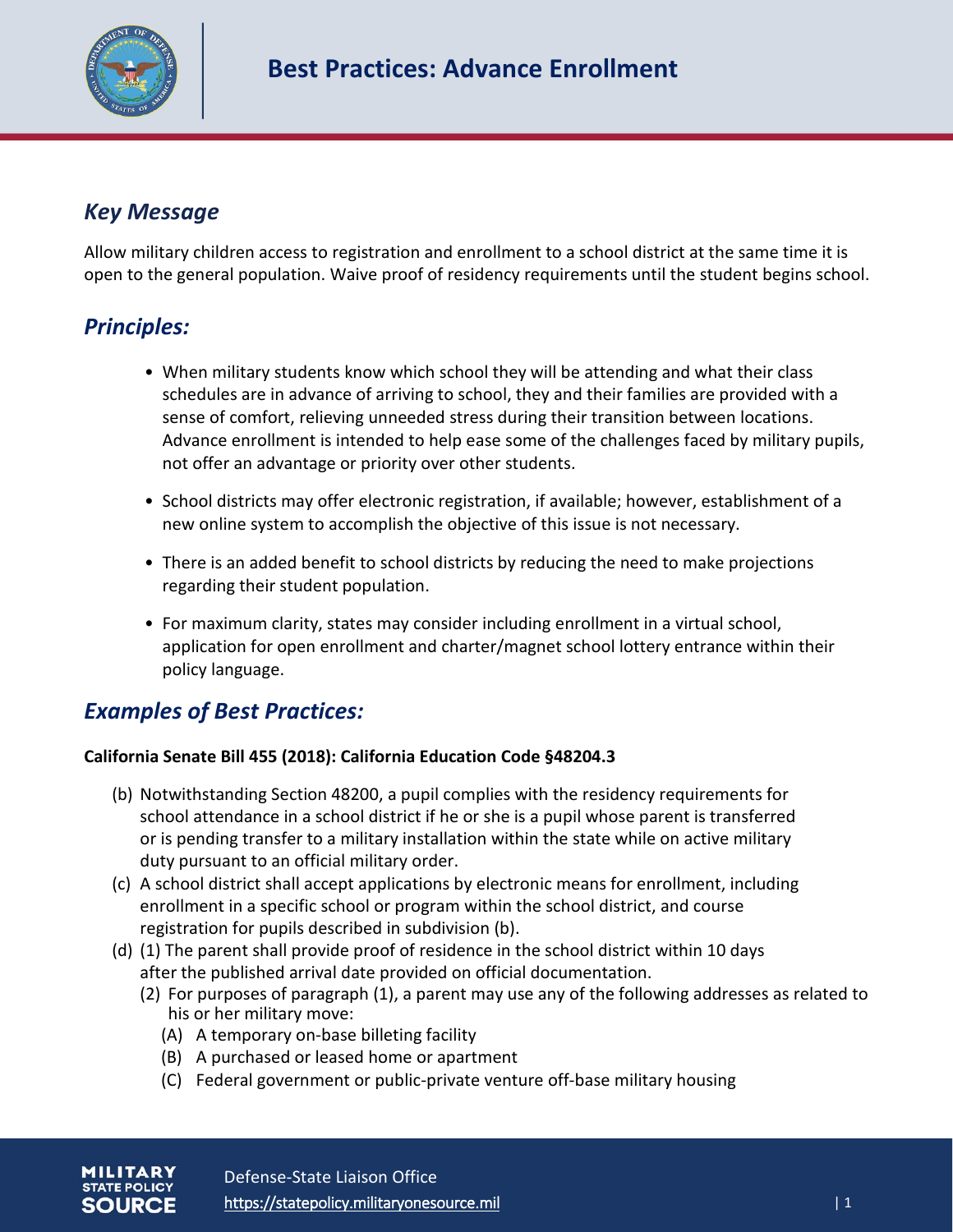

# *Key Message*

Allow military children access to registration and enrollment to a school district at the same time it is open to the general population. Waive proof of residency requirements until the student begins school.

### *Principles:*

- When military students know which school they will be attending and what their class schedules are in advance of arriving to school, they and their families are provided with a sense of comfort, relieving unneeded stress during their transition between locations. Advance enrollment is intended to help ease some of the challenges faced by military pupils, not offer an advantage or priority over other students.
- School districts may offer electronic registration, if available; however, establishment of a new online system to accomplish the objective of this issue is not necessary.
- There is an added benefit to school districts by reducing the need to make projections regarding their student population.
- For maximum clarity, states may consider including enrollment in a virtual school, application for open enrollment and charter/magnet school lottery entrance within their policy language.

# *Examples of Best Practices:*

### **California Senate Bill 455 (2018): California Education Code §48204.3**

- (b) Notwithstanding Section 48200, a pupil complies with the residency requirements for school attendance in a school district if he or she is a pupil whose parent is transferred or is pending transfer to a military installation within the state while on active military duty pursuant to an official military order.
- (c) A school district shall accept applications by electronic means for enrollment, including enrollment in a specific school or program within the school district, and course registration for pupils described in subdivision (b).
- (d) (1) The parent shall provide proof of residence in the school district within 10 days after the published arrival date provided on official documentation.
	- (2) For purposes of paragraph (1), a parent may use any of the following addresses as related to his or her military move:
		- (A) A temporary on-base billeting facility
		- (B) A purchased or leased home or apartment
		- (C) Federal government or public-private venture off-base military housing

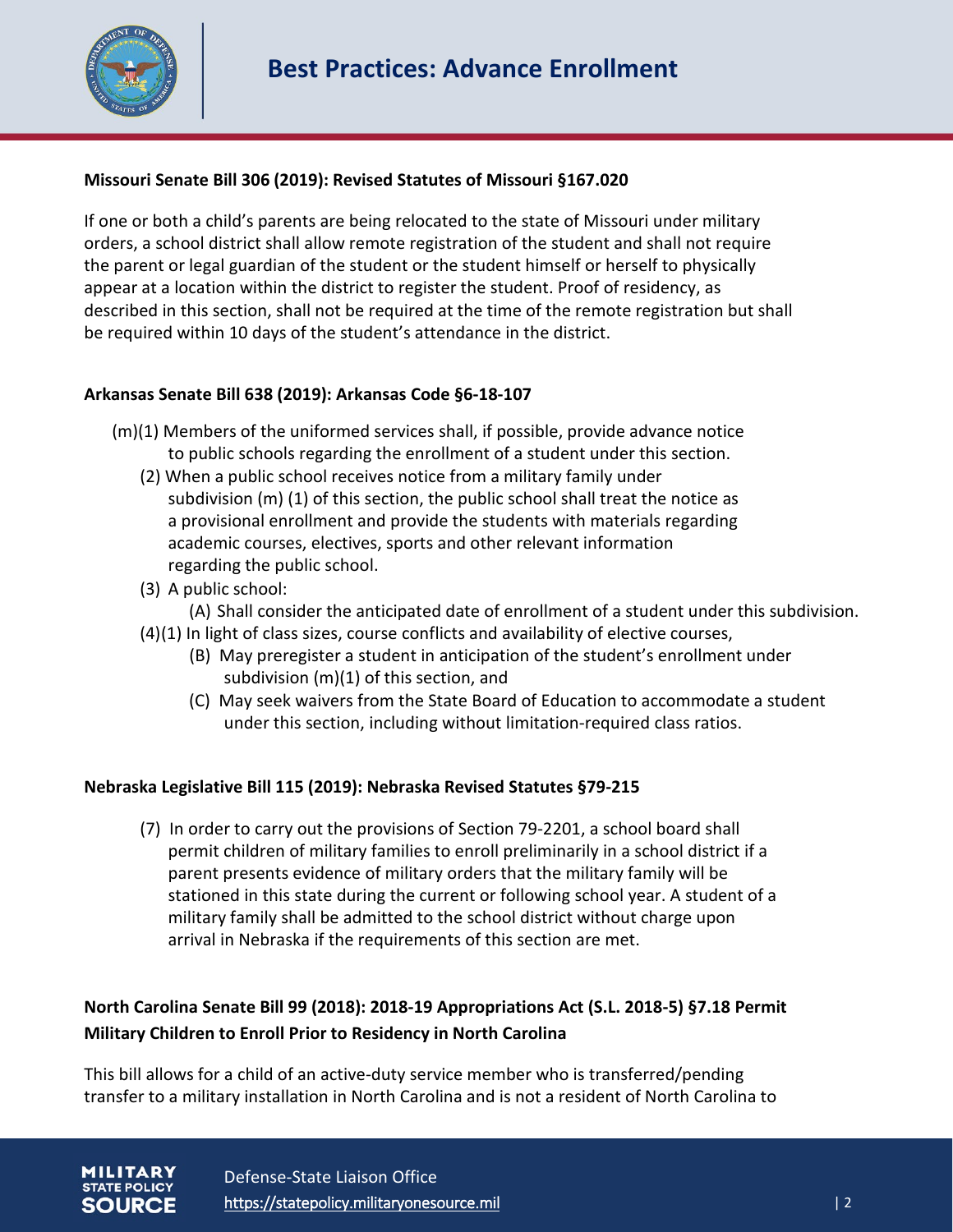

### **Missouri Senate Bill 306 (2019): Revised Statutes of Missouri §167.020**

If one or both a child's parents are being relocated to the state of Missouri under military orders, a school district shall allow remote registration of the student and shall not require the parent or legal guardian of the student or the student himself or herself to physically appear at a location within the district to register the student. Proof of residency, as described in this section, shall not be required at the time of the remote registration but shall be required within 10 days of the student's attendance in the district.

### **Arkansas Senate Bill 638 (2019): Arkansas Code §6-18-107**

- (m)(1) Members of the uniformed services shall, if possible, provide advance notice to public schools regarding the enrollment of a student under this section.
	- (2) When a public school receives notice from a military family under subdivision (m) (1) of this section, the public school shall treat the notice as a provisional enrollment and provide the students with materials regarding academic courses, electives, sports and other relevant information regarding the public school.
	- (3) A public school:
		- (A) Shall consider the anticipated date of enrollment of a student under this subdivision.
	- (4)(1) In light of class sizes, course conflicts and availability of elective courses,
		- (B) May preregister a student in anticipation of the student's enrollment under subdivision (m)(1) of this section, and
		- (C) May seek waivers from the State Board of Education to accommodate a student under this section, including without limitation-required class ratios.

### **Nebraska Legislative Bill 115 (2019): Nebraska Revised Statutes §79-215**

(7) In order to carry out the provisions of Section 79-2201, a school board shall permit children of military families to enroll preliminarily in a school district if a parent presents evidence of military orders that the military family will be stationed in this state during the current or following school year. A student of a military family shall be admitted to the school district without charge upon arrival in Nebraska if the requirements of this section are met.

### **North Carolina Senate Bill 99 (2018): 2018-19 Appropriations Act (S.L. 2018-5) §7.18 Permit Military Children to Enroll Prior to Residency in North Carolina**

This bill allows for a child of an active-duty service member who is transferred/pending transfer to a military installation in North Carolina and is not a resident of North Carolina to